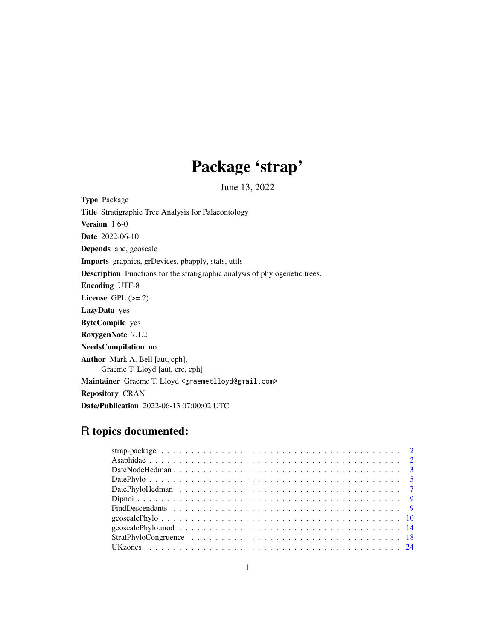# Package 'strap'

June 13, 2022

Type Package

Title Stratigraphic Tree Analysis for Palaeontology

Version 1.6-0

Date 2022-06-10

Depends ape, geoscale

Imports graphics, grDevices, pbapply, stats, utils

Description Functions for the stratigraphic analysis of phylogenetic trees.

Encoding UTF-8

License GPL  $(>= 2)$ 

LazyData yes

ByteCompile yes

RoxygenNote 7.1.2

NeedsCompilation no

Author Mark A. Bell [aut, cph],

Graeme T. Lloyd [aut, cre, cph]

Maintainer Graeme T. Lloyd <graemetlloyd@gmail.com>

Repository CRAN

Date/Publication 2022-06-13 07:00:02 UTC

# R topics documented: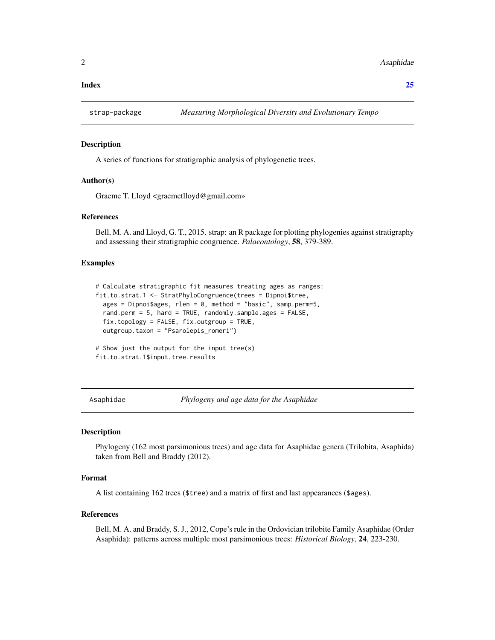#### <span id="page-1-0"></span>**Index** [25](#page-24-0)

#### Description

A series of functions for stratigraphic analysis of phylogenetic trees.

#### Author(s)

Graeme T. Lloyd <graemetlloyd@gmail.com»

#### References

Bell, M. A. and Lloyd, G. T., 2015. strap: an R package for plotting phylogenies against stratigraphy and assessing their stratigraphic congruence. *Palaeontology*, 58, 379-389.

# Examples

```
# Calculate stratigraphic fit measures treating ages as ranges:
fit.to.strat.1 <- StratPhyloCongruence(trees = Dipnoi$tree,
 ages = Dipnoi$ages, rlen = 0, method = "basic", samp.perm=5,
 rand.perm = 5, hard = TRUE, randomly.sample.ages = FALSE,
 fix.topology = FALSE, fix.outgroup = TRUE,
 outgroup.taxon = "Psarolepis_romeri")
# Show just the output for the input tree(s)
fit.to.strat.1$input.tree.results
```
Asaphidae *Phylogeny and age data for the Asaphidae*

### **Description**

Phylogeny (162 most parsimonious trees) and age data for Asaphidae genera (Trilobita, Asaphida) taken from Bell and Braddy (2012).

#### Format

A list containing 162 trees (\$tree) and a matrix of first and last appearances (\$ages).

#### References

Bell, M. A. and Braddy, S. J., 2012, Cope's rule in the Ordovician trilobite Family Asaphidae (Order Asaphida): patterns across multiple most parsimonious trees: *Historical Biology*, 24, 223-230.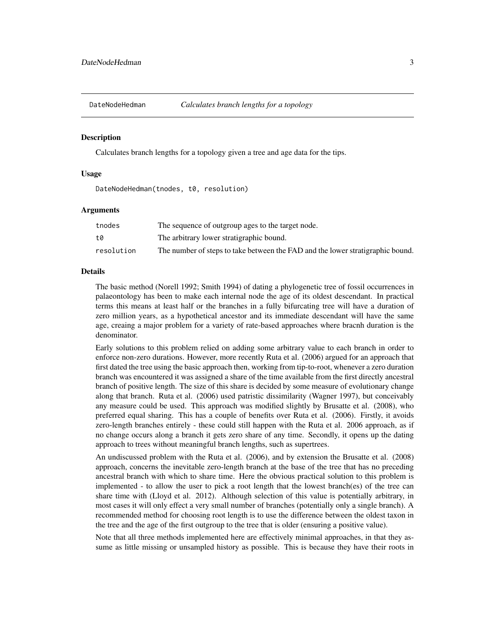<span id="page-2-0"></span>

#### Description

Calculates branch lengths for a topology given a tree and age data for the tips.

#### Usage

DateNodeHedman(tnodes, t0, resolution)

#### Arguments

| tnodes     | The sequence of outgroup ages to the target node.                              |
|------------|--------------------------------------------------------------------------------|
| t0         | The arbitrary lower stratigraphic bound.                                       |
| resolution | The number of steps to take between the FAD and the lower stratigraphic bound. |

#### Details

The basic method (Norell 1992; Smith 1994) of dating a phylogenetic tree of fossil occurrences in palaeontology has been to make each internal node the age of its oldest descendant. In practical terms this means at least half or the branches in a fully bifurcating tree will have a duration of zero million years, as a hypothetical ancestor and its immediate descendant will have the same age, creaing a major problem for a variety of rate-based approaches where bracnh duration is the denominator.

Early solutions to this problem relied on adding some arbitrary value to each branch in order to enforce non-zero durations. However, more recently Ruta et al. (2006) argued for an approach that first dated the tree using the basic approach then, working from tip-to-root, whenever a zero duration branch was encountered it was assigned a share of the time available from the first directly ancestral branch of positive length. The size of this share is decided by some measure of evolutionary change along that branch. Ruta et al. (2006) used patristic dissimilarity (Wagner 1997), but conceivably any measure could be used. This approach was modified slightly by Brusatte et al. (2008), who preferred equal sharing. This has a couple of benefits over Ruta et al. (2006). Firstly, it avoids zero-length branches entirely - these could still happen with the Ruta et al. 2006 approach, as if no change occurs along a branch it gets zero share of any time. Secondly, it opens up the dating approach to trees without meaningful branch lengths, such as supertrees.

An undiscussed problem with the Ruta et al. (2006), and by extension the Brusatte et al. (2008) approach, concerns the inevitable zero-length branch at the base of the tree that has no preceding ancestral branch with which to share time. Here the obvious practical solution to this problem is implemented - to allow the user to pick a root length that the lowest branch(es) of the tree can share time with (Lloyd et al. 2012). Although selection of this value is potentially arbitrary, in most cases it will only effect a very small number of branches (potentially only a single branch). A recommended method for choosing root length is to use the difference between the oldest taxon in the tree and the age of the first outgroup to the tree that is older (ensuring a positive value).

Note that all three methods implemented here are effectively minimal approaches, in that they assume as little missing or unsampled history as possible. This is because they have their roots in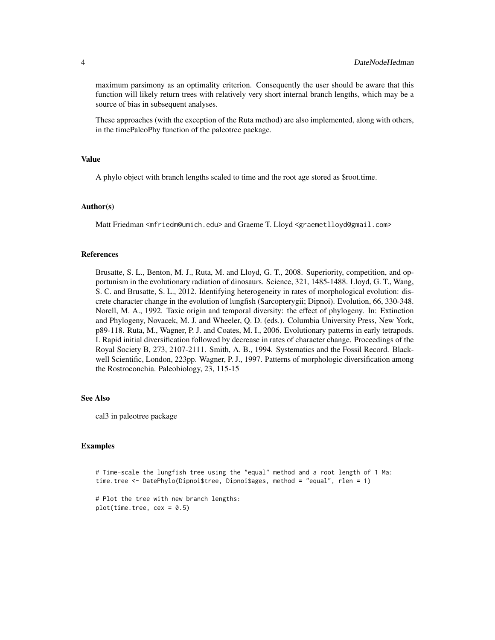maximum parsimony as an optimality criterion. Consequently the user should be aware that this function will likely return trees with relatively very short internal branch lengths, which may be a source of bias in subsequent analyses.

These approaches (with the exception of the Ruta method) are also implemented, along with others, in the timePaleoPhy function of the paleotree package.

### Value

A phylo object with branch lengths scaled to time and the root age stored as \$root.time.

#### Author(s)

Matt Friedman <mfriedm@umich.edu> and Graeme T. Lloyd <graemetlloyd@gmail.com>

#### References

Brusatte, S. L., Benton, M. J., Ruta, M. and Lloyd, G. T., 2008. Superiority, competition, and opportunism in the evolutionary radiation of dinosaurs. Science, 321, 1485-1488. Lloyd, G. T., Wang, S. C. and Brusatte, S. L., 2012. Identifying heterogeneity in rates of morphological evolution: discrete character change in the evolution of lungfish (Sarcopterygii; Dipnoi). Evolution, 66, 330-348. Norell, M. A., 1992. Taxic origin and temporal diversity: the effect of phylogeny. In: Extinction and Phylogeny, Novacek, M. J. and Wheeler, Q. D. (eds.). Columbia University Press, New York, p89-118. Ruta, M., Wagner, P. J. and Coates, M. I., 2006. Evolutionary patterns in early tetrapods. I. Rapid initial diversification followed by decrease in rates of character change. Proceedings of the Royal Society B, 273, 2107-2111. Smith, A. B., 1994. Systematics and the Fossil Record. Blackwell Scientific, London, 223pp. Wagner, P. J., 1997. Patterns of morphologic diversification among the Rostroconchia. Paleobiology, 23, 115-15

#### See Also

cal3 in paleotree package

#### Examples

# Time-scale the lungfish tree using the "equal" method and a root length of 1 Ma: time.tree <- DatePhylo(Dipnoi\$tree, Dipnoi\$ages, method = "equal", rlen = 1)

# Plot the tree with new branch lengths:  $plot(time.tree, cex = 0.5)$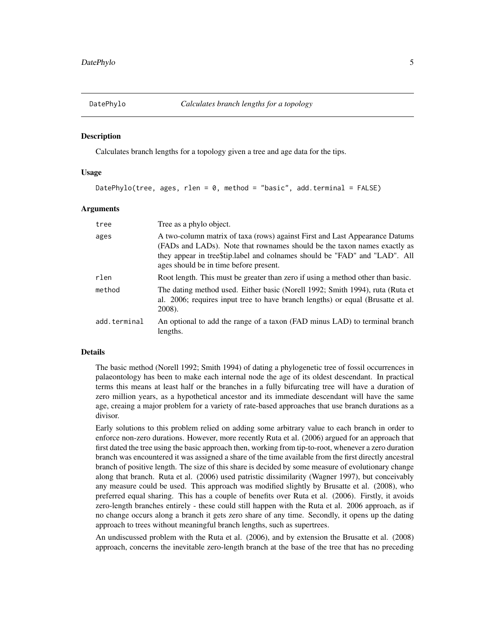<span id="page-4-1"></span><span id="page-4-0"></span>

#### **Description**

Calculates branch lengths for a topology given a tree and age data for the tips.

#### Usage

DatePhylo(tree, ages, rlen = 0, method = "basic", add.terminal = FALSE)

#### Arguments

| tree         | Tree as a phylo object.                                                                                                                                                                                                                                                         |
|--------------|---------------------------------------------------------------------------------------------------------------------------------------------------------------------------------------------------------------------------------------------------------------------------------|
| ages         | A two-column matrix of taxa (rows) against First and Last Appearance Datums<br>(FADs and LADs). Note that rownames should be the taxon names exactly as<br>they appear in tree\$tip.label and colnames should be "FAD" and "LAD". All<br>ages should be in time before present. |
| rlen         | Root length. This must be greater than zero if using a method other than basic.                                                                                                                                                                                                 |
| method       | The dating method used. Either basic (Norell 1992; Smith 1994), ruta (Ruta et<br>al. 2006; requires input tree to have branch lengths) or equal (Brusatte et al.<br>2008).                                                                                                      |
| add.terminal | An optional to add the range of a taxon (FAD minus LAD) to terminal branch<br>lengths.                                                                                                                                                                                          |

#### Details

The basic method (Norell 1992; Smith 1994) of dating a phylogenetic tree of fossil occurrences in palaeontology has been to make each internal node the age of its oldest descendant. In practical terms this means at least half or the branches in a fully bifurcating tree will have a duration of zero million years, as a hypothetical ancestor and its immediate descendant will have the same age, creaing a major problem for a variety of rate-based approaches that use branch durations as a divisor.

Early solutions to this problem relied on adding some arbitrary value to each branch in order to enforce non-zero durations. However, more recently Ruta et al. (2006) argued for an approach that first dated the tree using the basic approach then, working from tip-to-root, whenever a zero duration branch was encountered it was assigned a share of the time available from the first directly ancestral branch of positive length. The size of this share is decided by some measure of evolutionary change along that branch. Ruta et al. (2006) used patristic dissimilarity (Wagner 1997), but conceivably any measure could be used. This approach was modified slightly by Brusatte et al. (2008), who preferred equal sharing. This has a couple of benefits over Ruta et al. (2006). Firstly, it avoids zero-length branches entirely - these could still happen with the Ruta et al. 2006 approach, as if no change occurs along a branch it gets zero share of any time. Secondly, it opens up the dating approach to trees without meaningful branch lengths, such as supertrees.

An undiscussed problem with the Ruta et al. (2006), and by extension the Brusatte et al. (2008) approach, concerns the inevitable zero-length branch at the base of the tree that has no preceding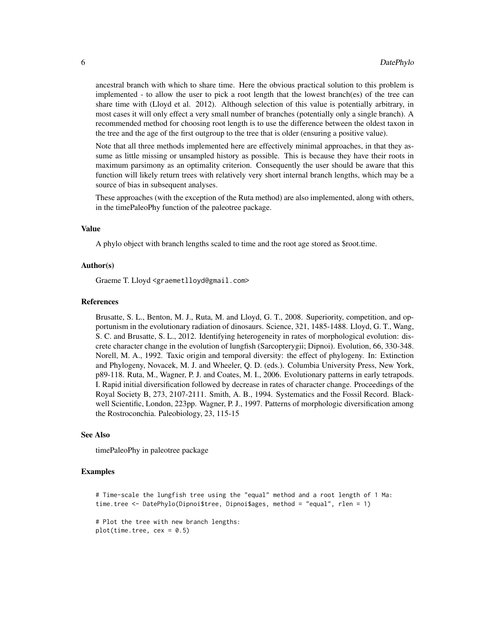ancestral branch with which to share time. Here the obvious practical solution to this problem is implemented - to allow the user to pick a root length that the lowest branch(es) of the tree can share time with (Lloyd et al. 2012). Although selection of this value is potentially arbitrary, in most cases it will only effect a very small number of branches (potentially only a single branch). A recommended method for choosing root length is to use the difference between the oldest taxon in the tree and the age of the first outgroup to the tree that is older (ensuring a positive value).

Note that all three methods implemented here are effectively minimal approaches, in that they assume as little missing or unsampled history as possible. This is because they have their roots in maximum parsimony as an optimality criterion. Consequently the user should be aware that this function will likely return trees with relatively very short internal branch lengths, which may be a source of bias in subsequent analyses.

These approaches (with the exception of the Ruta method) are also implemented, along with others, in the timePaleoPhy function of the paleotree package.

#### Value

A phylo object with branch lengths scaled to time and the root age stored as \$root.time.

#### Author(s)

Graeme T. Lloyd <graemetlloyd@gmail.com>

#### References

Brusatte, S. L., Benton, M. J., Ruta, M. and Lloyd, G. T., 2008. Superiority, competition, and opportunism in the evolutionary radiation of dinosaurs. Science, 321, 1485-1488. Lloyd, G. T., Wang, S. C. and Brusatte, S. L., 2012. Identifying heterogeneity in rates of morphological evolution: discrete character change in the evolution of lungfish (Sarcopterygii; Dipnoi). Evolution, 66, 330-348. Norell, M. A., 1992. Taxic origin and temporal diversity: the effect of phylogeny. In: Extinction and Phylogeny, Novacek, M. J. and Wheeler, Q. D. (eds.). Columbia University Press, New York, p89-118. Ruta, M., Wagner, P. J. and Coates, M. I., 2006. Evolutionary patterns in early tetrapods. I. Rapid initial diversification followed by decrease in rates of character change. Proceedings of the Royal Society B, 273, 2107-2111. Smith, A. B., 1994. Systematics and the Fossil Record. Blackwell Scientific, London, 223pp. Wagner, P. J., 1997. Patterns of morphologic diversification among the Rostroconchia. Paleobiology, 23, 115-15

#### See Also

timePaleoPhy in paleotree package

#### Examples

# Time-scale the lungfish tree using the "equal" method and a root length of 1 Ma: time.tree <- DatePhylo(Dipnoi\$tree, Dipnoi\$ages, method = "equal", rlen = 1)

# Plot the tree with new branch lengths:  $plot(time-tree, cex = 0.5)$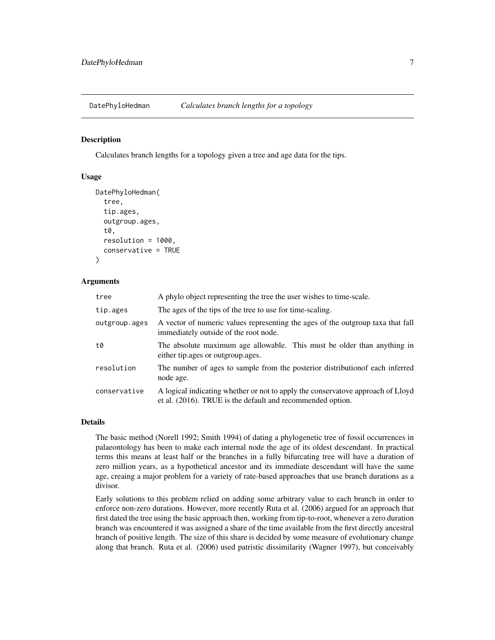<span id="page-6-0"></span>

#### Description

Calculates branch lengths for a topology given a tree and age data for the tips.

#### Usage

```
DatePhyloHedman(
  tree,
  tip.ages,
  outgroup.ages,
  t0,
  resolution = 1000,
  conservative = TRUE
)
```
#### Arguments

| tree          | A phylo object representing the tree the user wishes to time-scale.                                                                           |
|---------------|-----------------------------------------------------------------------------------------------------------------------------------------------|
| tip.ages      | The ages of the tips of the tree to use for time-scaling.                                                                                     |
| outgroup.ages | A vector of numeric values representing the ages of the outgroup taxa that fall<br>immediately outside of the root node.                      |
| t0            | The absolute maximum age allowable. This must be older than anything in<br>either tip.ages or outgroup.ages.                                  |
| resolution    | The number of ages to sample from the posterior distribution feach inferred<br>node age.                                                      |
| conservative  | A logical indicating whether or not to apply the conservatove approach of Lloyd<br>et al. (2016). TRUE is the default and recommended option. |

#### Details

The basic method (Norell 1992; Smith 1994) of dating a phylogenetic tree of fossil occurrences in palaeontology has been to make each internal node the age of its oldest descendant. In practical terms this means at least half or the branches in a fully bifurcating tree will have a duration of zero million years, as a hypothetical ancestor and its immediate descendant will have the same age, creaing a major problem for a variety of rate-based approaches that use branch durations as a divisor.

Early solutions to this problem relied on adding some arbitrary value to each branch in order to enforce non-zero durations. However, more recently Ruta et al. (2006) argued for an approach that first dated the tree using the basic approach then, working from tip-to-root, whenever a zero duration branch was encountered it was assigned a share of the time available from the first directly ancestral branch of positive length. The size of this share is decided by some measure of evolutionary change along that branch. Ruta et al. (2006) used patristic dissimilarity (Wagner 1997), but conceivably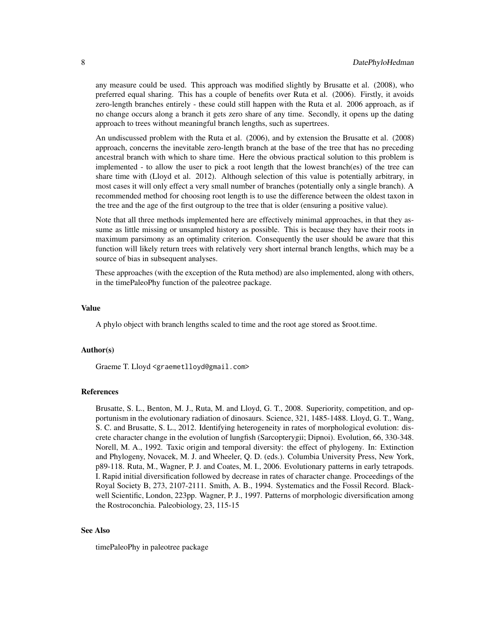any measure could be used. This approach was modified slightly by Brusatte et al. (2008), who preferred equal sharing. This has a couple of benefits over Ruta et al. (2006). Firstly, it avoids zero-length branches entirely - these could still happen with the Ruta et al. 2006 approach, as if no change occurs along a branch it gets zero share of any time. Secondly, it opens up the dating approach to trees without meaningful branch lengths, such as supertrees.

An undiscussed problem with the Ruta et al. (2006), and by extension the Brusatte et al. (2008) approach, concerns the inevitable zero-length branch at the base of the tree that has no preceding ancestral branch with which to share time. Here the obvious practical solution to this problem is implemented - to allow the user to pick a root length that the lowest branch(es) of the tree can share time with (Lloyd et al. 2012). Although selection of this value is potentially arbitrary, in most cases it will only effect a very small number of branches (potentially only a single branch). A recommended method for choosing root length is to use the difference between the oldest taxon in the tree and the age of the first outgroup to the tree that is older (ensuring a positive value).

Note that all three methods implemented here are effectively minimal approaches, in that they assume as little missing or unsampled history as possible. This is because they have their roots in maximum parsimony as an optimality criterion. Consequently the user should be aware that this function will likely return trees with relatively very short internal branch lengths, which may be a source of bias in subsequent analyses.

These approaches (with the exception of the Ruta method) are also implemented, along with others, in the timePaleoPhy function of the paleotree package.

#### Value

A phylo object with branch lengths scaled to time and the root age stored as \$root.time.

#### Author(s)

Graeme T. Lloyd <graemetlloyd@gmail.com>

#### References

Brusatte, S. L., Benton, M. J., Ruta, M. and Lloyd, G. T., 2008. Superiority, competition, and opportunism in the evolutionary radiation of dinosaurs. Science, 321, 1485-1488. Lloyd, G. T., Wang, S. C. and Brusatte, S. L., 2012. Identifying heterogeneity in rates of morphological evolution: discrete character change in the evolution of lungfish (Sarcopterygii; Dipnoi). Evolution, 66, 330-348. Norell, M. A., 1992. Taxic origin and temporal diversity: the effect of phylogeny. In: Extinction and Phylogeny, Novacek, M. J. and Wheeler, Q. D. (eds.). Columbia University Press, New York, p89-118. Ruta, M., Wagner, P. J. and Coates, M. I., 2006. Evolutionary patterns in early tetrapods. I. Rapid initial diversification followed by decrease in rates of character change. Proceedings of the Royal Society B, 273, 2107-2111. Smith, A. B., 1994. Systematics and the Fossil Record. Blackwell Scientific, London, 223pp. Wagner, P. J., 1997. Patterns of morphologic diversification among the Rostroconchia. Paleobiology, 23, 115-15

#### See Also

timePaleoPhy in paleotree package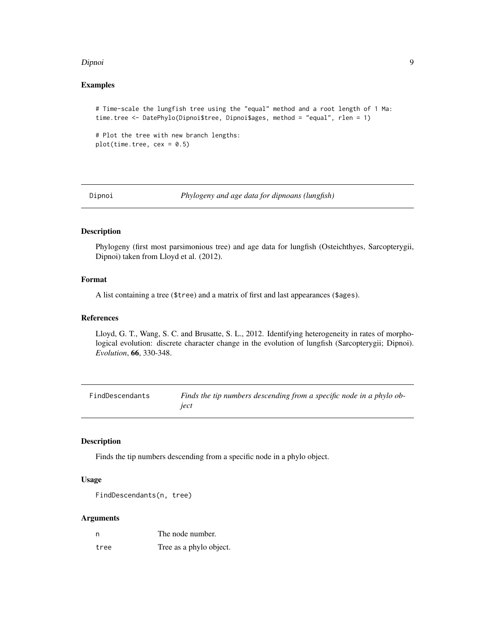#### <span id="page-8-0"></span>Dipnoi 9

#### Examples

```
# Time-scale the lungfish tree using the "equal" method and a root length of 1 Ma:
time.tree <- DatePhylo(Dipnoi$tree, Dipnoi$ages, method = "equal", rlen = 1)
```

```
# Plot the tree with new branch lengths:
plot(time.tree, cex = 0.5)
```
Dipnoi *Phylogeny and age data for dipnoans (lungfish)*

# Description

Phylogeny (first most parsimonious tree) and age data for lungfish (Osteichthyes, Sarcopterygii, Dipnoi) taken from Lloyd et al. (2012).

#### Format

A list containing a tree (\$tree) and a matrix of first and last appearances (\$ages).

#### References

Lloyd, G. T., Wang, S. C. and Brusatte, S. L., 2012. Identifying heterogeneity in rates of morphological evolution: discrete character change in the evolution of lungfish (Sarcopterygii; Dipnoi). *Evolution*, 66, 330-348.

FindDescendants *Finds the tip numbers descending from a specific node in a phylo object*

#### Description

Finds the tip numbers descending from a specific node in a phylo object.

#### Usage

FindDescendants(n, tree)

#### Arguments

| n    | The node number.        |
|------|-------------------------|
| tree | Tree as a phylo object. |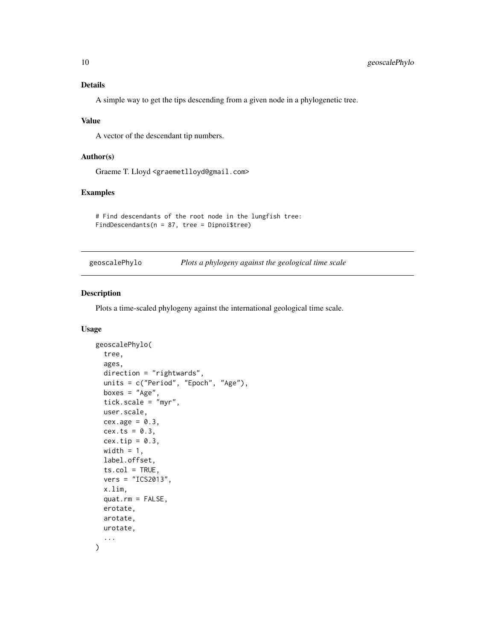<span id="page-9-0"></span>A simple way to get the tips descending from a given node in a phylogenetic tree.

#### Value

A vector of the descendant tip numbers.

#### Author(s)

Graeme T. Lloyd <graemetlloyd@gmail.com>

### Examples

```
# Find descendants of the root node in the lungfish tree:
FindDescendants(n = 87, tree = Dipnoi$tree)
```
geoscalePhylo *Plots a phylogeny against the geological time scale*

# Description

Plots a time-scaled phylogeny against the international geological time scale.

#### Usage

```
geoscalePhylo(
  tree,
  ages,
  direction = "rightwards",
  units = c("Period", "Epoch", "Age"),
  boxes = "Age",
  tick.scale = "myr",
 user.scale,
  cex.age = 0.3,cex.ts = 0.3,cex.tip = 0.3,
 width = 1,
  label.offset,
  ts.col = TRUE,vers = "ICS2013",
  x.lim,
  quat.rm = FALSE,
 erotate,
 arotate,
 urotate,
  ...
)
```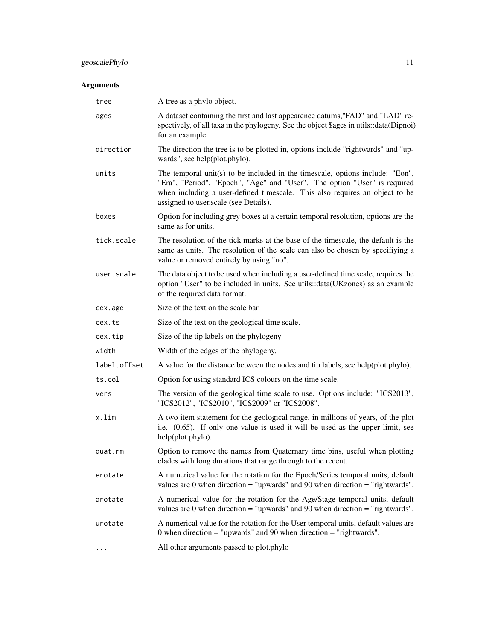# geoscalePhylo 11

# Arguments

| tree         | A tree as a phylo object.                                                                                                                                                                                                                                                          |
|--------------|------------------------------------------------------------------------------------------------------------------------------------------------------------------------------------------------------------------------------------------------------------------------------------|
| ages         | A dataset containing the first and last appearence datums, "FAD" and "LAD" re-<br>spectively, of all taxa in the phylogeny. See the object \$ages in utils::data(Dipnoi)<br>for an example.                                                                                        |
| direction    | The direction the tree is to be plotted in, options include "rightwards" and "up-<br>wards", see help(plot.phylo).                                                                                                                                                                 |
| units        | The temporal unit(s) to be included in the timescale, options include: "Eon",<br>"Era", "Period", "Epoch", "Age" and "User". The option "User" is required<br>when including a user-defined timescale. This also requires an object to be<br>assigned to user.scale (see Details). |
| boxes        | Option for including grey boxes at a certain temporal resolution, options are the<br>same as for units.                                                                                                                                                                            |
| tick.scale   | The resolution of the tick marks at the base of the timescale, the default is the<br>same as units. The resolution of the scale can also be chosen by specifiying a<br>value or removed entirely by using "no".                                                                    |
| user.scale   | The data object to be used when including a user-defined time scale, requires the<br>option "User" to be included in units. See utils::data(UKzones) as an example<br>of the required data format.                                                                                 |
| cex.age      | Size of the text on the scale bar.                                                                                                                                                                                                                                                 |
| cex.ts       | Size of the text on the geological time scale.                                                                                                                                                                                                                                     |
| cex.tip      | Size of the tip labels on the phylogeny                                                                                                                                                                                                                                            |
| width        | Width of the edges of the phylogeny.                                                                                                                                                                                                                                               |
| label.offset | A value for the distance between the nodes and tip labels, see help(plot.phylo).                                                                                                                                                                                                   |
| ts.col       | Option for using standard ICS colours on the time scale.                                                                                                                                                                                                                           |
| vers         | The version of the geological time scale to use. Options include: "ICS2013",<br>"ICS2012", "ICS2010", "ICS2009" or "ICS2008".                                                                                                                                                      |
| x.lim        | A two item statement for the geological range, in millions of years, of the plot<br>i.e. $(0.65)$ . If only one value is used it will be used as the upper limit, see<br>help(plot.phylo).                                                                                         |
| quat.rm      | Option to remove the names from Quaternary time bins, useful when plotting<br>clades with long durations that range through to the recent.                                                                                                                                         |
| erotate      | A numerical value for the rotation for the Epoch/Series temporal units, default<br>values are 0 when direction $=$ "upwards" and 90 when direction $=$ "rightwards".                                                                                                               |
| arotate      | A numerical value for the rotation for the Age/Stage temporal units, default<br>values are 0 when direction $=$ "upwards" and 90 when direction $=$ "rightwards".                                                                                                                  |
| urotate      | A numerical value for the rotation for the User temporal units, default values are<br>0 when direction = "upwards" and 90 when direction = "rightwards".                                                                                                                           |
| $\cdots$     | All other arguments passed to plot.phylo                                                                                                                                                                                                                                           |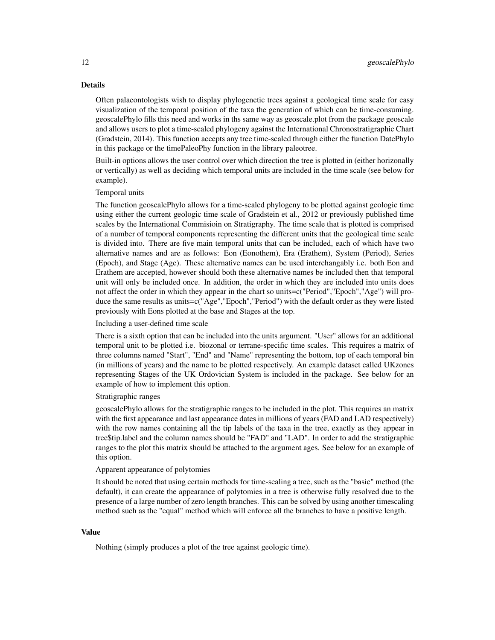### Details

Often palaeontologists wish to display phylogenetic trees against a geological time scale for easy visualization of the temporal position of the taxa the generation of which can be time-consuming. geoscalePhylo fills this need and works in ths same way as geoscale.plot from the package geoscale and allows users to plot a time-scaled phylogeny against the International Chronostratigraphic Chart (Gradstein, 2014). This function accepts any tree time-scaled through either the function DatePhylo in this package or the timePaleoPhy function in the library paleotree.

Built-in options allows the user control over which direction the tree is plotted in (either horizonally or vertically) as well as deciding which temporal units are included in the time scale (see below for example).

#### Temporal units

The function geoscalePhylo allows for a time-scaled phylogeny to be plotted against geologic time using either the current geologic time scale of Gradstein et al., 2012 or previously published time scales by the International Commisioin on Stratigraphy. The time scale that is plotted is comprised of a number of temporal components representing the different units that the geological time scale is divided into. There are five main temporal units that can be included, each of which have two alternative names and are as follows: Eon (Eonothem), Era (Erathem), System (Period), Series (Epoch), and Stage (Age). These alternative names can be used interchangably i.e. both Eon and Erathem are accepted, however should both these alternative names be included then that temporal unit will only be included once. In addition, the order in which they are included into units does not affect the order in which they appear in the chart so units=c("Period","Epoch","Age") will produce the same results as units=c("Age","Epoch","Period") with the default order as they were listed previously with Eons plotted at the base and Stages at the top.

#### Including a user-defined time scale

There is a sixth option that can be included into the units argument. "User" allows for an additional temporal unit to be plotted i.e. biozonal or terrane-specific time scales. This requires a matrix of three columns named "Start", "End" and "Name" representing the bottom, top of each temporal bin (in millions of years) and the name to be plotted respectively. An example dataset called UKzones representing Stages of the UK Ordovician System is included in the package. See below for an example of how to implement this option.

#### Stratigraphic ranges

geoscalePhylo allows for the stratigraphic ranges to be included in the plot. This requires an matrix with the first appearance and last appearance dates in millions of years (FAD and LAD respectively) with the row names containing all the tip labels of the taxa in the tree, exactly as they appear in tree\$tip.label and the column names should be "FAD" and "LAD". In order to add the stratigraphic ranges to the plot this matrix should be attached to the argument ages. See below for an example of this option.

# Apparent appearance of polytomies

It should be noted that using certain methods for time-scaling a tree, such as the "basic" method (the default), it can create the appearance of polytomies in a tree is otherwise fully resolved due to the presence of a large number of zero length branches. This can be solved by using another timescaling method such as the "equal" method which will enforce all the branches to have a positive length.

#### Value

Nothing (simply produces a plot of the tree against geologic time).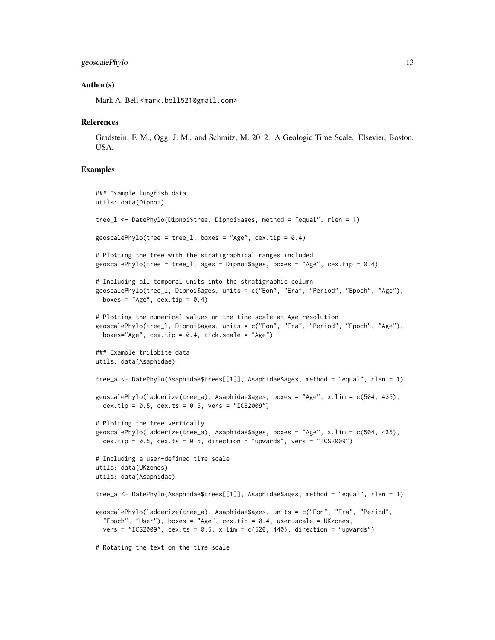#### geoscalePhylo 13

#### Author(s)

Mark A. Bell <mark.bell521@gmail.com>

#### **References**

Gradstein, F. M., Ogg, J. M., and Schmitz, M. 2012. A Geologic Time Scale. Elsevier, Boston, USA.

#### Examples

```
### Example lungfish data
utils::data(Dipnoi)
tree_l <- DatePhylo(Dipnoi$tree, Dipnoi$ages, method = "equal", rlen = 1)
geoscalePhylo(tree = tree_1, boxes = "Age", cex.tip = 0.4)
# Plotting the tree with the stratigraphical ranges included
geoscalePhylo(tree = tree_1, ages = Dipnoi$ages, boxes = "Age", cex.tip = 0.4)
# Including all temporal units into the stratigraphic column
geoscalePhylo(tree_l, Dipnoi$ages, units = c("Eon", "Era", "Period", "Epoch", "Age"),
 boxes = "Age", cex.tip = 0.4)
# Plotting the numerical values on the time scale at Age resolution
geoscalePhylo(tree_l, Dipnoi$ages, units = c("Eon", "Era", "Period", "Epoch", "Age"),
  boxes="Age", cex.tip = 0.4, tick.scale = "Age")### Example trilobite data
utils::data(Asaphidae)
tree_a <- DatePhylo(Asaphidae$trees[[1]], Asaphidae$ages, method = "equal", rlen = 1)
geoscalePhylo(ladderize(tree_a), Asaphidae$ages, boxes = "Age", x.lim = c(504, 435),
  cex.tip = 0.5, cex.ts = 0.5, vers = "ICS2009")# Plotting the tree vertically
geoscalePhylo(ladderize(tree_a), Asaphidae$ages, boxes = "Age", x.lim = c(504, 435),
  cex.tip = 0.5, cex.ts = 0.5, direction = "upwards", vers = "ICS2009")
# Including a user-defined time scale
utils::data(UKzones)
utils::data(Asaphidae)
tree_a <- DatePhylo(Asaphidae$trees[[1]], Asaphidae$ages, method = "equal", rlen = 1)
geoscalePhylo(ladderize(tree_a), Asaphidae$ages, units = c("Eon", "Era", "Period",
  "Epoch", "User"), boxes = "Age", cex.tip = 0.4, user.scale = UKzones,
  vers = "ICS2009", cex.ts = 0.5, x.lim = c(520, 440), direction = "upwards")
# Rotating the text on the time scale
```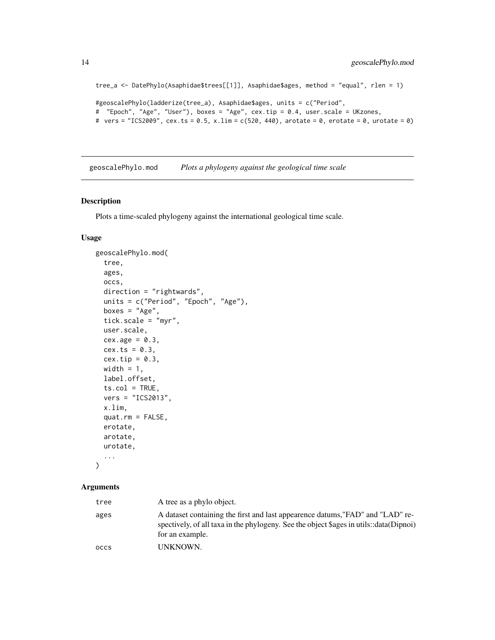```
tree_a <- DatePhylo(Asaphidae$trees[[1]], Asaphidae$ages, method = "equal", rlen = 1)
#geoscalePhylo(ladderize(tree_a), Asaphidae$ages, units = c("Period",
# "Epoch", "Age", "User"), boxes = "Age", cex.tip = 0.4, user.scale = UKzones,
# vers = "ICS2009", cex.ts = 0.5, x.lim = c(520, 440), arotate = 0, erotate = 0, urotate = 0)
```
geoscalePhylo.mod *Plots a phylogeny against the geological time scale*

#### Description

Plots a time-scaled phylogeny against the international geological time scale.

#### Usage

```
geoscalePhylo.mod(
  tree,
  ages,
 occs,
 direction = "rightwards",
 units = c("Period", "Epoch", "Age"),
 boxes = "Age",tick.scale = "myr",
 user.scale,
 cex.age = 0.3,
  cex.ts = 0.3,
  cex.tip = 0.3,
 width = 1,
  label.offset,
  ts.col = TRUE,vers = "ICS2013",
 x.lim,
  quat.rm = FALSE,erotate,
 arotate,
 urotate,
  ...
)
```
#### Arguments

| tree        | A tree as a phylo object.                                                                                                                                                                   |
|-------------|---------------------------------------------------------------------------------------------------------------------------------------------------------------------------------------------|
| ages        | A dataset containing the first and last appearence datums, "FAD" and "LAD" re-<br>spectively, of all taxa in the phylogeny. See the object \$ages in utils::data(Dipnoi)<br>for an example. |
| <b>OCCS</b> | UNKNOWN.                                                                                                                                                                                    |

<span id="page-13-0"></span>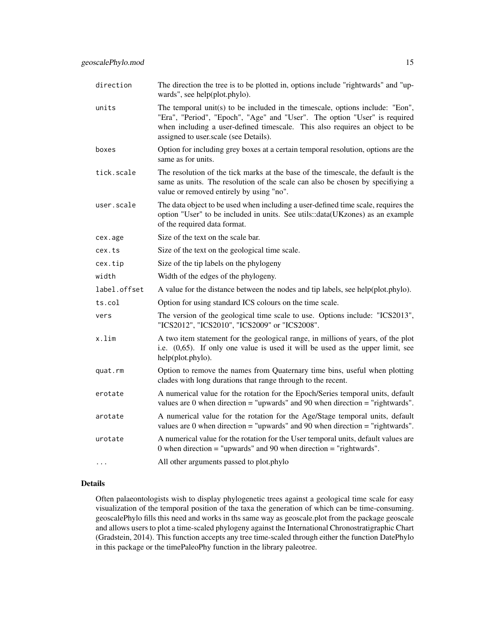| direction    | The direction the tree is to be plotted in, options include "rightwards" and "up-<br>wards", see help(plot.phylo).                                                                                                                                                                 |
|--------------|------------------------------------------------------------------------------------------------------------------------------------------------------------------------------------------------------------------------------------------------------------------------------------|
| units        | The temporal unit(s) to be included in the timescale, options include: "Eon",<br>"Era", "Period", "Epoch", "Age" and "User". The option "User" is required<br>when including a user-defined timescale. This also requires an object to be<br>assigned to user.scale (see Details). |
| boxes        | Option for including grey boxes at a certain temporal resolution, options are the<br>same as for units.                                                                                                                                                                            |
| tick.scale   | The resolution of the tick marks at the base of the timescale, the default is the<br>same as units. The resolution of the scale can also be chosen by specifiying a<br>value or removed entirely by using "no".                                                                    |
| user.scale   | The data object to be used when including a user-defined time scale, requires the<br>option "User" to be included in units. See utils::data(UKzones) as an example<br>of the required data format.                                                                                 |
| cex.age      | Size of the text on the scale bar.                                                                                                                                                                                                                                                 |
| cex.ts       | Size of the text on the geological time scale.                                                                                                                                                                                                                                     |
| cex.tip      | Size of the tip labels on the phylogeny                                                                                                                                                                                                                                            |
| width        | Width of the edges of the phylogeny.                                                                                                                                                                                                                                               |
| label.offset | A value for the distance between the nodes and tip labels, see help(plot.phylo).                                                                                                                                                                                                   |
| ts.col       | Option for using standard ICS colours on the time scale.                                                                                                                                                                                                                           |
| vers         | The version of the geological time scale to use. Options include: "ICS2013",<br>"ICS2012", "ICS2010", "ICS2009" or "ICS2008".                                                                                                                                                      |
| x.lim        | A two item statement for the geological range, in millions of years, of the plot<br>i.e. $(0,65)$ . If only one value is used it will be used as the upper limit, see<br>help(plot.phylo).                                                                                         |
| quat.rm      | Option to remove the names from Quaternary time bins, useful when plotting<br>clades with long durations that range through to the recent.                                                                                                                                         |
| erotate      | A numerical value for the rotation for the Epoch/Series temporal units, default<br>values are 0 when direction = "upwards" and 90 when direction = "rightwards".                                                                                                                   |
| arotate      | A numerical value for the rotation for the Age/Stage temporal units, default<br>values are 0 when direction = "upwards" and 90 when direction = "rightwards".                                                                                                                      |
| urotate      | A numerical value for the rotation for the User temporal units, default values are<br>0 when direction = "upwards" and 90 when direction = "rightwards".                                                                                                                           |
|              | All other arguments passed to plot.phylo                                                                                                                                                                                                                                           |

## Details

Often palaeontologists wish to display phylogenetic trees against a geological time scale for easy visualization of the temporal position of the taxa the generation of which can be time-consuming. geoscalePhylo fills this need and works in ths same way as geoscale.plot from the package geoscale and allows users to plot a time-scaled phylogeny against the International Chronostratigraphic Chart (Gradstein, 2014). This function accepts any tree time-scaled through either the function DatePhylo in this package or the timePaleoPhy function in the library paleotree.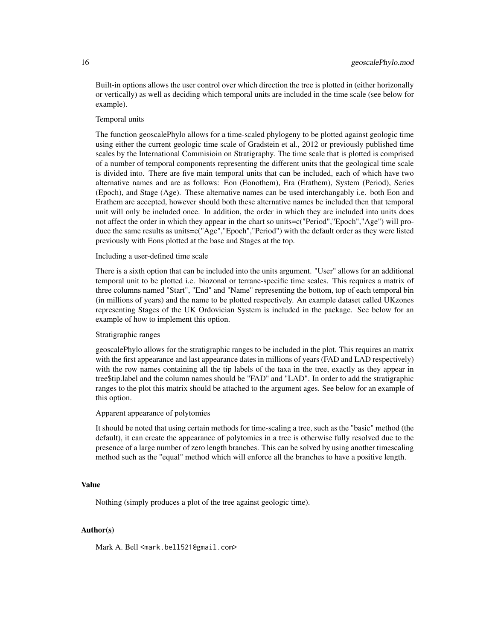Built-in options allows the user control over which direction the tree is plotted in (either horizonally or vertically) as well as deciding which temporal units are included in the time scale (see below for example).

#### Temporal units

The function geoscalePhylo allows for a time-scaled phylogeny to be plotted against geologic time using either the current geologic time scale of Gradstein et al., 2012 or previously published time scales by the International Commisioin on Stratigraphy. The time scale that is plotted is comprised of a number of temporal components representing the different units that the geological time scale is divided into. There are five main temporal units that can be included, each of which have two alternative names and are as follows: Eon (Eonothem), Era (Erathem), System (Period), Series (Epoch), and Stage (Age). These alternative names can be used interchangably i.e. both Eon and Erathem are accepted, however should both these alternative names be included then that temporal unit will only be included once. In addition, the order in which they are included into units does not affect the order in which they appear in the chart so units=c("Period","Epoch","Age") will produce the same results as units=c("Age","Epoch","Period") with the default order as they were listed previously with Eons plotted at the base and Stages at the top.

#### Including a user-defined time scale

There is a sixth option that can be included into the units argument. "User" allows for an additional temporal unit to be plotted i.e. biozonal or terrane-specific time scales. This requires a matrix of three columns named "Start", "End" and "Name" representing the bottom, top of each temporal bin (in millions of years) and the name to be plotted respectively. An example dataset called UKzones representing Stages of the UK Ordovician System is included in the package. See below for an example of how to implement this option.

#### Stratigraphic ranges

geoscalePhylo allows for the stratigraphic ranges to be included in the plot. This requires an matrix with the first appearance and last appearance dates in millions of years (FAD and LAD respectively) with the row names containing all the tip labels of the taxa in the tree, exactly as they appear in tree\$tip.label and the column names should be "FAD" and "LAD". In order to add the stratigraphic ranges to the plot this matrix should be attached to the argument ages. See below for an example of this option.

#### Apparent appearance of polytomies

It should be noted that using certain methods for time-scaling a tree, such as the "basic" method (the default), it can create the appearance of polytomies in a tree is otherwise fully resolved due to the presence of a large number of zero length branches. This can be solved by using another timescaling method such as the "equal" method which will enforce all the branches to have a positive length.

#### Value

Nothing (simply produces a plot of the tree against geologic time).

#### Author(s)

Mark A. Bell <mark.bell521@gmail.com>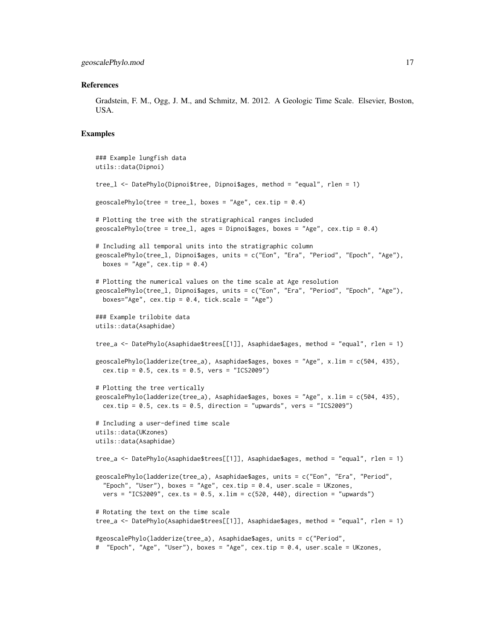#### References

Gradstein, F. M., Ogg, J. M., and Schmitz, M. 2012. A Geologic Time Scale. Elsevier, Boston, USA.

#### Examples

```
### Example lungfish data
utils::data(Dipnoi)
tree_l <- DatePhylo(Dipnoi$tree, Dipnoi$ages, method = "equal", rlen = 1)
geoscalePhylo(tree = tree_1, boxes = "Age", cex.tip = 0.4)
# Plotting the tree with the stratigraphical ranges included
geoscalePhylo(tree = tree_1, ages = Dipnoi$ages, boxes = "Age", cex.tip = 0.4)
# Including all temporal units into the stratigraphic column
geoscalePhylo(tree_l, Dipnoi$ages, units = c("Eon", "Era", "Period", "Epoch", "Age"),
  boxes = "Age", cex.tip = 0.4)
# Plotting the numerical values on the time scale at Age resolution
geoscalePhylo(tree_l, Dipnoi$ages, units = c("Eon", "Era", "Period", "Epoch", "Age"),
 boxes="Age", cex.tip = 0.4, tick.scale = "Age")### Example trilobite data
utils::data(Asaphidae)
tree_a <- DatePhylo(Asaphidae$trees[[1]], Asaphidae$ages, method = "equal", rlen = 1)
geoscalePhylo(ladderize(tree_a), Asaphidae$ages, boxes = "Age", x.lim = c(504, 435),
  cex.tip = 0.5, cex.ts = 0.5, vers = "ICS2009")# Plotting the tree vertically
geoscalePhylo(ladderize(tree_a), Asaphidae$ages, boxes = "Age", x.lim = c(504, 435),
  cex.tip = 0.5, cex.ts = 0.5, direction = "upwards", vers = "ICS2009")
# Including a user-defined time scale
utils::data(UKzones)
utils::data(Asaphidae)
tree_a <- DatePhylo(Asaphidae$trees[[1]], Asaphidae$ages, method = "equal", rlen = 1)
geoscalePhylo(ladderize(tree_a), Asaphidae$ages, units = c("Eon", "Era", "Period",
  "Epoch", "User"), boxes = "Age", cex.tip = 0.4, user.scale = UKzones,
  vers = "ICS2009", cex.ts = 0.5, x.lim = c(520, 440), direction = "upwards")
# Rotating the text on the time scale
tree_a <- DatePhylo(Asaphidae$trees[[1]], Asaphidae$ages, method = "equal", rlen = 1)
#geoscalePhylo(ladderize(tree_a), Asaphidae$ages, units = c("Period",
# "Epoch", "Age", "User"), boxes = "Age", cex.tip = 0.4, user.scale = UKzones,
```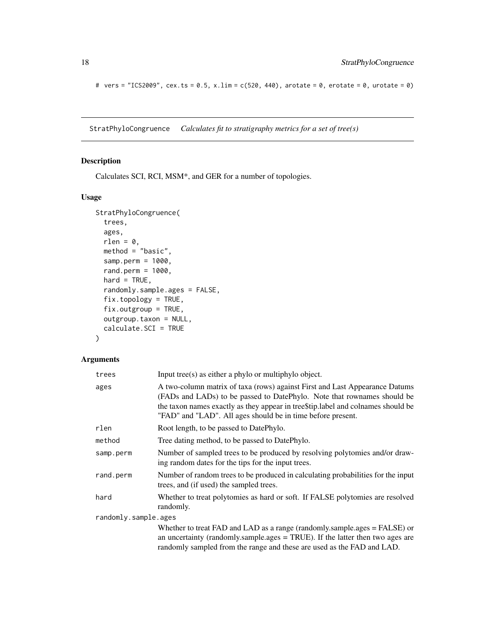# vers = "ICS2009", cex.ts =  $0.5$ , x.lim = c(520, 440), arotate =  $0$ , erotate =  $0$ , urotate =  $0$ )

StratPhyloCongruence *Calculates fit to stratigraphy metrics for a set of tree(s)*

# Description

Calculates SCI, RCI, MSM\*, and GER for a number of topologies.

# Usage

```
StratPhyloCongruence(
  trees,
 ages,
 rlen = 0,
 method = "basic",
 samp.perm = 1000,
 rand.perm = 1000,
 hard = TRUE,
  randomly.sample.ages = FALSE,
 fix.topology = TRUE,
 fix.outgroup = TRUE,
 outgroup.taxon = NULL,
  calculate.SCI = TRUE
\mathcal{L}
```
# Arguments

| trees                | Input tree(s) as either a phylo or multiphylo object.                                                                                                                                                                                                                                                       |  |
|----------------------|-------------------------------------------------------------------------------------------------------------------------------------------------------------------------------------------------------------------------------------------------------------------------------------------------------------|--|
| ages                 | A two-column matrix of taxa (rows) against First and Last Appearance Datums<br>(FADs and LADs) to be passed to DatePhylo. Note that rownames should be<br>the taxon names exactly as they appear in tree \$tip. label and colnames should be<br>"FAD" and "LAD". All ages should be in time before present. |  |
| rlen                 | Root length, to be passed to DatePhylo.                                                                                                                                                                                                                                                                     |  |
| method               | Tree dating method, to be passed to DatePhylo.                                                                                                                                                                                                                                                              |  |
| samp.perm            | Number of sampled trees to be produced by resolving polytomies and/or draw-<br>ing random dates for the tips for the input trees.                                                                                                                                                                           |  |
| rand.perm            | Number of random trees to be produced in calculating probabilities for the input<br>trees, and (if used) the sampled trees.                                                                                                                                                                                 |  |
| hard                 | Whether to treat polytomies as hard or soft. If FALSE polytomies are resolved<br>randomly.                                                                                                                                                                                                                  |  |
| randomly.sample.ages |                                                                                                                                                                                                                                                                                                             |  |
|                      | Whether to treat FAD and LAD as a range (randomly.sample.ages = FALSE) or<br>an uncertainty (randomly.sample.ages $=$ TRUE). If the latter then two ages are<br>randomly sampled from the range and these are used as the FAD and LAD.                                                                      |  |

<span id="page-17-0"></span>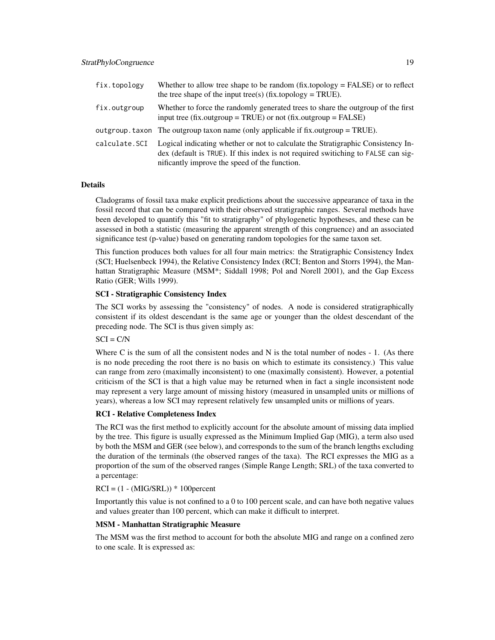| fix.topology  | Whether to allow tree shape to be random $(fix.topology = FALSE)$ or to reflect<br>the tree shape of the input tree(s) (fix.topology = TRUE).                                                                          |
|---------------|------------------------------------------------------------------------------------------------------------------------------------------------------------------------------------------------------------------------|
| fix.outgroup  | Whether to force the randomly generated trees to share the outgroup of the first<br>input tree (fix.outgroup = TRUE) or not (fix.outgroup = FALSE)                                                                     |
|               | outgroup taxon. The outgroup taxon name (only applicable if $fix$ outgroup = TRUE).                                                                                                                                    |
| calculate.SCI | Logical indicating whether or not to calculate the Stratigraphic Consistency In-<br>dex (default is TRUE). If this index is not required switiching to FALSE can sig-<br>nificantly improve the speed of the function. |

#### Details

Cladograms of fossil taxa make explicit predictions about the successive appearance of taxa in the fossil record that can be compared with their observed stratigraphic ranges. Several methods have been developed to quantify this "fit to stratigraphy" of phylogenetic hypotheses, and these can be assessed in both a statistic (measuring the apparent strength of this congruence) and an associated significance test (p-value) based on generating random topologies for the same taxon set.

This function produces both values for all four main metrics: the Stratigraphic Consistency Index (SCI; Huelsenbeck 1994), the Relative Consistency Index (RCI; Benton and Storrs 1994), the Manhattan Stratigraphic Measure (MSM\*; Siddall 1998; Pol and Norell 2001), and the Gap Excess Ratio (GER; Wills 1999).

#### SCI - Stratigraphic Consistency Index

The SCI works by assessing the "consistency" of nodes. A node is considered stratigraphically consistent if its oldest descendant is the same age or younger than the oldest descendant of the preceding node. The SCI is thus given simply as:

### $SCI = C/N$

Where C is the sum of all the consistent nodes and N is the total number of nodes  $-1$ . (As there is no node preceding the root there is no basis on which to estimate its consistency.) This value can range from zero (maximally inconsistent) to one (maximally consistent). However, a potential criticism of the SCI is that a high value may be returned when in fact a single inconsistent node may represent a very large amount of missing history (measured in unsampled units or millions of years), whereas a low SCI may represent relatively few unsampled units or millions of years.

#### RCI - Relative Completeness Index

The RCI was the first method to explicitly account for the absolute amount of missing data implied by the tree. This figure is usually expressed as the Minimum Implied Gap (MIG), a term also used by both the MSM and GER (see below), and corresponds to the sum of the branch lengths excluding the duration of the terminals (the observed ranges of the taxa). The RCI expresses the MIG as a proportion of the sum of the observed ranges (Simple Range Length; SRL) of the taxa converted to a percentage:

### $RCI = (1 - (MIG/SRL)) * 100$  percent

Importantly this value is not confined to a 0 to 100 percent scale, and can have both negative values and values greater than 100 percent, which can make it difficult to interpret.

#### MSM - Manhattan Stratigraphic Measure

The MSM was the first method to account for both the absolute MIG and range on a confined zero to one scale. It is expressed as: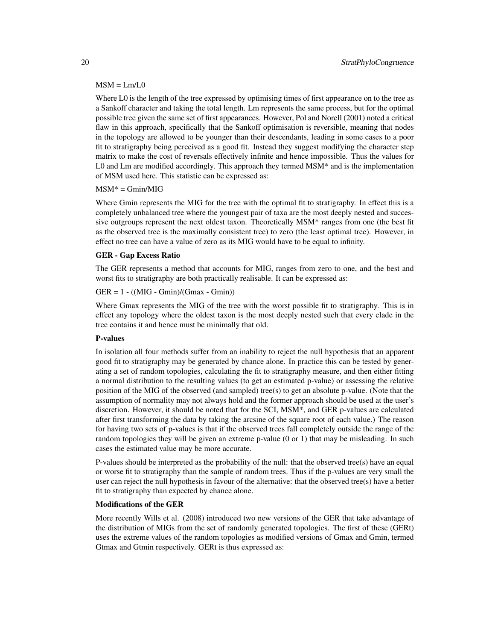#### $MSM = Lm/L0$

Where L0 is the length of the tree expressed by optimising times of first appearance on to the tree as a Sankoff character and taking the total length. Lm represents the same process, but for the optimal possible tree given the same set of first appearances. However, Pol and Norell (2001) noted a critical flaw in this approach, specifically that the Sankoff optimisation is reversible, meaning that nodes in the topology are allowed to be younger than their descendants, leading in some cases to a poor fit to stratigraphy being perceived as a good fit. Instead they suggest modifying the character step matrix to make the cost of reversals effectively infinite and hence impossible. Thus the values for L0 and Lm are modified accordingly. This approach they termed  $MSM^*$  and is the implementation of MSM used here. This statistic can be expressed as:

#### $MSM^* = Gmin/MIG$

Where Gmin represents the MIG for the tree with the optimal fit to stratigraphy. In effect this is a completely unbalanced tree where the youngest pair of taxa are the most deeply nested and successive outgroups represent the next oldest taxon. Theoretically MSM\* ranges from one (the best fit as the observed tree is the maximally consistent tree) to zero (the least optimal tree). However, in effect no tree can have a value of zero as its MIG would have to be equal to infinity.

#### GER - Gap Excess Ratio

The GER represents a method that accounts for MIG, ranges from zero to one, and the best and worst fits to stratigraphy are both practically realisable. It can be expressed as:

#### $GER = 1 - ((MIG - Gmin)/(Gmax - Gmin))$

Where Gmax represents the MIG of the tree with the worst possible fit to stratigraphy. This is in effect any topology where the oldest taxon is the most deeply nested such that every clade in the tree contains it and hence must be minimally that old.

#### P-values

In isolation all four methods suffer from an inability to reject the null hypothesis that an apparent good fit to stratigraphy may be generated by chance alone. In practice this can be tested by generating a set of random topologies, calculating the fit to stratigraphy measure, and then either fitting a normal distribution to the resulting values (to get an estimated p-value) or assessing the relative position of the MIG of the observed (and sampled) tree(s) to get an absolute p-value. (Note that the assumption of normality may not always hold and the former approach should be used at the user's discretion. However, it should be noted that for the SCI, MSM\*, and GER p-values are calculated after first transforming the data by taking the arcsine of the square root of each value.) The reason for having two sets of p-values is that if the observed trees fall completely outside the range of the random topologies they will be given an extreme p-value (0 or 1) that may be misleading. In such cases the estimated value may be more accurate.

P-values should be interpreted as the probability of the null: that the observed tree(s) have an equal or worse fit to stratigraphy than the sample of random trees. Thus if the p-values are very small the user can reject the null hypothesis in favour of the alternative: that the observed tree(s) have a better fit to stratigraphy than expected by chance alone.

#### Modifications of the GER

More recently Wills et al. (2008) introduced two new versions of the GER that take advantage of the distribution of MIGs from the set of randomly generated topologies. The first of these (GERt) uses the extreme values of the random topologies as modified versions of Gmax and Gmin, termed Gtmax and Gtmin respectively. GERt is thus expressed as: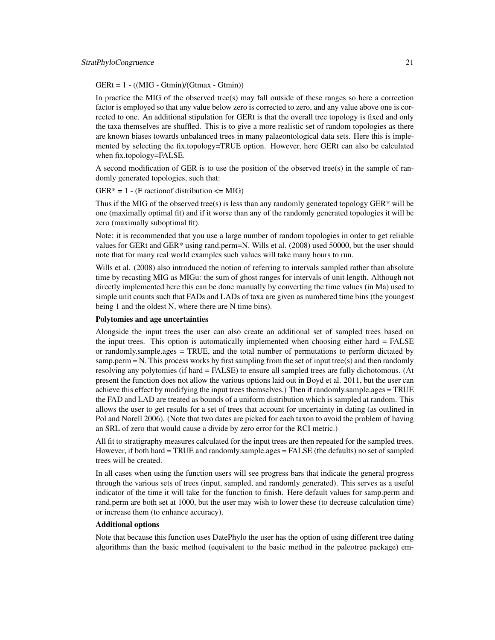$GERt = 1 - ((MIG - Gtmin)/(Gtmax - Gtmin))$ 

In practice the MIG of the observed tree(s) may fall outside of these ranges so here a correction factor is employed so that any value below zero is corrected to zero, and any value above one is corrected to one. An additional stipulation for GERt is that the overall tree topology is fixed and only the taxa themselves are shuffled. This is to give a more realistic set of random topologies as there are known biases towards unbalanced trees in many palaeontological data sets. Here this is implemented by selecting the fix.topology=TRUE option. However, here GERt can also be calculated when fix.topology=FALSE.

A second modification of GER is to use the position of the observed tree(s) in the sample of randomly generated topologies, such that:

GER\* = 1 - (F ractionof distribution <= MIG)

Thus if the MIG of the observed tree(s) is less than any randomly generated topology GER $*$  will be one (maximally optimal fit) and if it worse than any of the randomly generated topologies it will be zero (maximally suboptimal fit).

Note: it is recommended that you use a large number of random topologies in order to get reliable values for GERt and GER\* using rand.perm=N. Wills et al. (2008) used 50000, but the user should note that for many real world examples such values will take many hours to run.

Wills et al. (2008) also introduced the notion of referring to intervals sampled rather than absolute time by recasting MIG as MIGu: the sum of ghost ranges for intervals of unit length. Although not directly implemented here this can be done manually by converting the time values (in Ma) used to simple unit counts such that FADs and LADs of taxa are given as numbered time bins (the youngest being 1 and the oldest N, where there are N time bins).

#### Polytomies and age uncertainties

Alongside the input trees the user can also create an additional set of sampled trees based on the input trees. This option is automatically implemented when choosing either hard = FALSE or randomly.sample.ages = TRUE, and the total number of permutations to perform dictated by samp.perm  $= N$ . This process works by first sampling from the set of input tree(s) and then randomly resolving any polytomies (if hard = FALSE) to ensure all sampled trees are fully dichotomous. (At present the function does not allow the various options laid out in Boyd et al. 2011, but the user can achieve this effect by modifying the input trees themselves.) Then if randomly.sample.ages = TRUE the FAD and LAD are treated as bounds of a uniform distribution which is sampled at random. This allows the user to get results for a set of trees that account for uncertainty in dating (as outlined in Pol and Norell 2006). (Note that two dates are picked for each taxon to avoid the problem of having an SRL of zero that would cause a divide by zero error for the RCI metric.)

All fit to stratigraphy measures calculated for the input trees are then repeated for the sampled trees. However, if both hard = TRUE and randomly.sample.ages = FALSE (the defaults) no set of sampled trees will be created.

In all cases when using the function users will see progress bars that indicate the general progress through the various sets of trees (input, sampled, and randomly generated). This serves as a useful indicator of the time it will take for the function to finish. Here default values for samp.perm and rand.perm are both set at 1000, but the user may wish to lower these (to decrease calculation time) or increase them (to enhance accuracy).

#### Additional options

Note that because this function uses DatePhylo the user has the option of using different tree dating algorithms than the basic method (equivalent to the basic method in the paleotree package) em-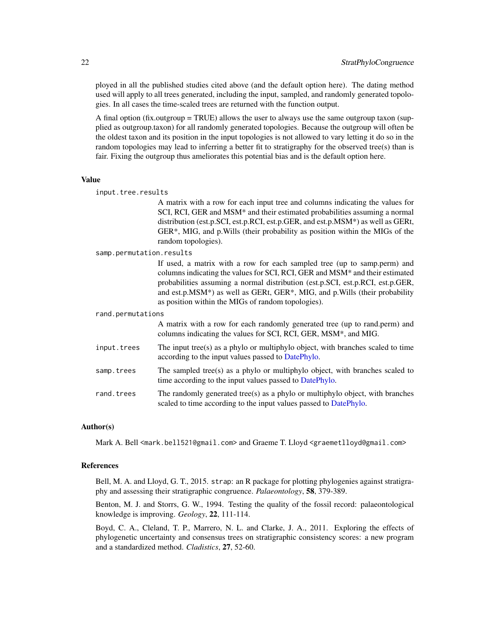<span id="page-21-0"></span>ployed in all the published studies cited above (and the default option here). The dating method used will apply to all trees generated, including the input, sampled, and randomly generated topologies. In all cases the time-scaled trees are returned with the function output.

A final option (fix.outgroup = TRUE) allows the user to always use the same outgroup taxon (supplied as outgroup.taxon) for all randomly generated topologies. Because the outgroup will often be the oldest taxon and its position in the input topologies is not allowed to vary letting it do so in the random topologies may lead to inferring a better fit to stratigraphy for the observed tree(s) than is fair. Fixing the outgroup thus ameliorates this potential bias and is the default option here.

#### Value

| input.tree.results       |                                                                                                                                                                                                                                                                                                                                                                                |
|--------------------------|--------------------------------------------------------------------------------------------------------------------------------------------------------------------------------------------------------------------------------------------------------------------------------------------------------------------------------------------------------------------------------|
|                          | A matrix with a row for each input tree and columns indicating the values for<br>SCI, RCI, GER and MSM* and their estimated probabilities assuming a normal<br>distribution (est.p.SCI, est.p.RCI, est.p.GER, and est.p.MSM*) as well as GERt,<br>GER*, MIG, and p. Wills (their probability as position within the MIGs of the<br>random topologies).                         |
| samp.permutation.results |                                                                                                                                                                                                                                                                                                                                                                                |
|                          | If used, a matrix with a row for each sampled tree (up to samp.perm) and<br>columns indicating the values for SCI, RCI, GER and MSM* and their estimated<br>probabilities assuming a normal distribution (est.p.SCI, est.p.RCI, est.p.GER,<br>and est.p.MSM*) as well as GERt, GER*, MIG, and p.Wills (their probability<br>as position within the MIGs of random topologies). |
| rand.permutations        |                                                                                                                                                                                                                                                                                                                                                                                |
|                          | A matrix with a row for each randomly generated tree (up to rand.perm) and<br>columns indicating the values for SCI, RCI, GER, MSM*, and MIG.                                                                                                                                                                                                                                  |
| input.trees              | The input tree(s) as a phylo or multiphylo object, with branches scaled to time<br>according to the input values passed to DatePhylo.                                                                                                                                                                                                                                          |
| samp.trees               | The sampled tree(s) as a phylo or multiphylo object, with branches scaled to<br>time according to the input values passed to DatePhylo.                                                                                                                                                                                                                                        |
| rand.trees               | The randomly generated tree $(s)$ as a phylo or multiphylo object, with branches<br>scaled to time according to the input values passed to DatePhylo.                                                                                                                                                                                                                          |

#### Author(s)

Mark A. Bell <mark.bell521@gmail.com> and Graeme T. Lloyd <graemetlloyd@gmail.com>

# References

Bell, M. A. and Lloyd, G. T., 2015. strap: an R package for plotting phylogenies against stratigraphy and assessing their stratigraphic congruence. *Palaeontology*, 58, 379-389.

Benton, M. J. and Storrs, G. W., 1994. Testing the quality of the fossil record: palaeontological knowledge is improving. *Geology*, 22, 111-114.

Boyd, C. A., Cleland, T. P., Marrero, N. L. and Clarke, J. A., 2011. Exploring the effects of phylogenetic uncertainty and consensus trees on stratigraphic consistency scores: a new program and a standardized method. *Cladistics*, 27, 52-60.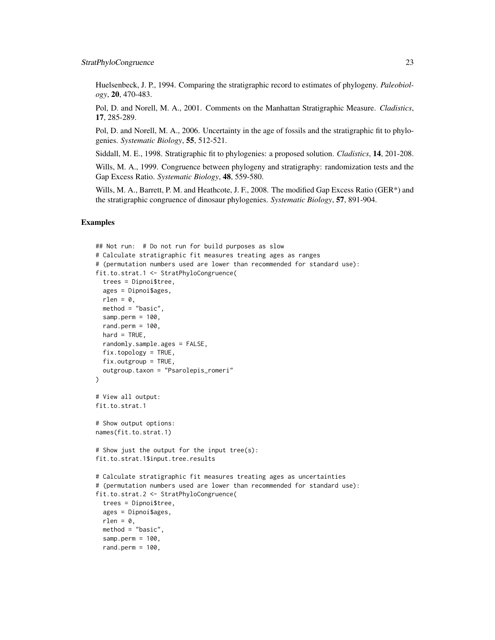Huelsenbeck, J. P., 1994. Comparing the stratigraphic record to estimates of phylogeny. *Paleobiology*, 20, 470-483.

Pol, D. and Norell, M. A., 2001. Comments on the Manhattan Stratigraphic Measure. *Cladistics*, 17, 285-289.

Pol, D. and Norell, M. A., 2006. Uncertainty in the age of fossils and the stratigraphic fit to phylogenies. *Systematic Biology*, 55, 512-521.

Siddall, M. E., 1998. Stratigraphic fit to phylogenies: a proposed solution. *Cladistics*, 14, 201-208.

Wills, M. A., 1999. Congruence between phylogeny and stratigraphy: randomization tests and the Gap Excess Ratio. *Systematic Biology*, 48, 559-580.

Wills, M. A., Barrett, P. M. and Heathcote, J. F., 2008. The modified Gap Excess Ratio (GER\*) and the stratigraphic congruence of dinosaur phylogenies. *Systematic Biology*, 57, 891-904.

#### Examples

```
## Not run: # Do not run for build purposes as slow
# Calculate stratigraphic fit measures treating ages as ranges
# (permutation numbers used are lower than recommended for standard use):
fit.to.strat.1 <- StratPhyloCongruence(
 trees = Dipnoi$tree,
 ages = Dipnoi$ages,
 rlen = 0,
 method = "basic",
 samp.perm = 100,
 rand.perm = 100,
 hard = TRUE,
 randomly.sample.ages = FALSE,
 fix.topology = TRUE,
 fix.outgroup = TRUE,
 outgroup.taxon = "Psarolepis_romeri"
\lambda# View all output:
fit.to.strat.1
# Show output options:
names(fit.to.strat.1)
# Show just the output for the input tree(s):
fit.to.strat.1$input.tree.results
# Calculate stratigraphic fit measures treating ages as uncertainties
# (permutation numbers used are lower than recommended for standard use):
fit.to.strat.2 <- StratPhyloCongruence(
 trees = Dipnoi$tree,
 ages = Dipnoi$ages,
 rlen = 0,
 method = "basic",
 samp.perm = 100,
 rand.perm = 100,
```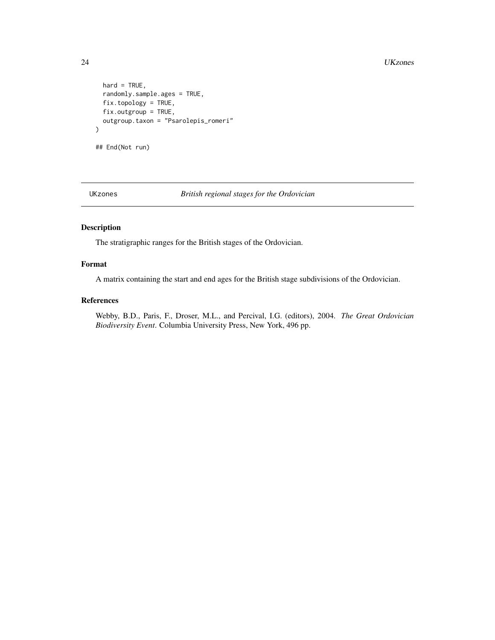```
hard = TRUE,
  randomly.sample.ages = TRUE,
  fix.topology = TRUE,
  fix.outgroup = TRUE,
  outgroup.taxon = "Psarolepis_romeri"
\mathcal{L}## End(Not run)
```
UKzones *British regional stages for the Ordovician*

# Description

The stratigraphic ranges for the British stages of the Ordovician.

# Format

A matrix containing the start and end ages for the British stage subdivisions of the Ordovician.

#### References

Webby, B.D., Paris, F., Droser, M.L., and Percival, I.G. (editors), 2004. *The Great Ordovician Biodiversity Event*. Columbia University Press, New York, 496 pp.

<span id="page-23-0"></span>